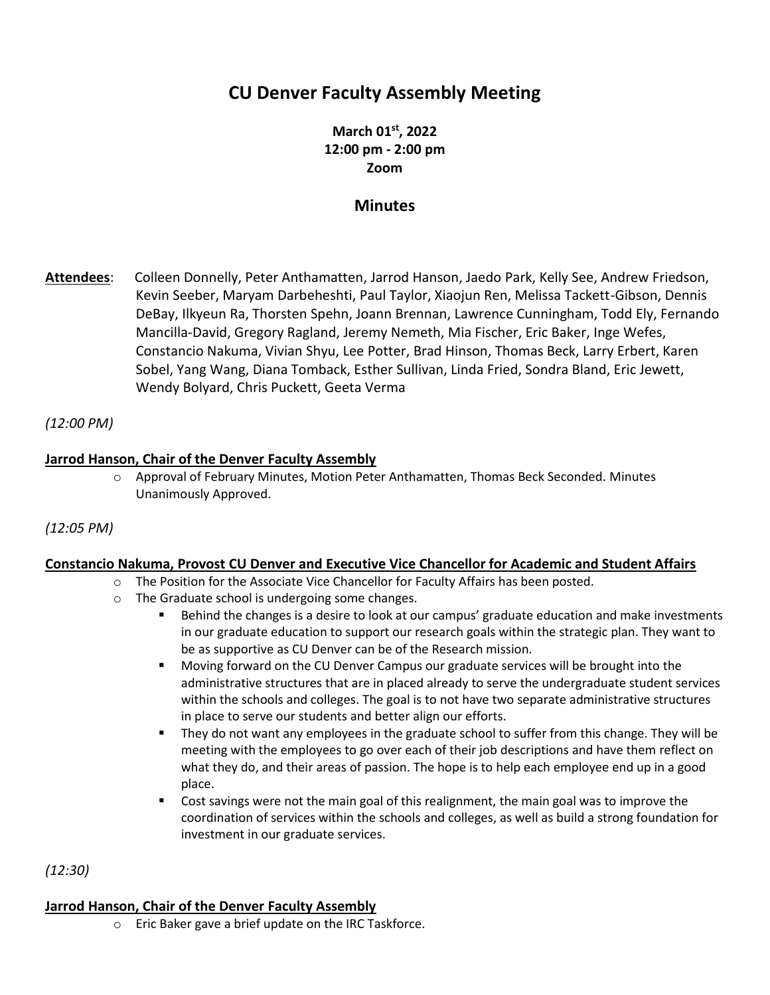# **CU Denver Faculty Assembly Meeting**

**March 01 st, 2022 12:00 pm - 2:00 pm Zoom**

# **Minutes**

**Attendees**: Colleen Donnelly, Peter Anthamatten, Jarrod Hanson, Jaedo Park, Kelly See, Andrew Friedson, Kevin Seeber, Maryam Darbeheshti, Paul Taylor, Xiaojun Ren, Melissa Tackett-Gibson, Dennis DeBay, Ilkyeun Ra, Thorsten Spehn, Joann Brennan, Lawrence Cunningham, Todd Ely, Fernando Mancilla-David, Gregory Ragland, Jeremy Nemeth, Mia Fischer, Eric Baker, Inge Wefes, Constancio Nakuma, Vivian Shyu, Lee Potter, Brad Hinson, Thomas Beck, Larry Erbert, Karen Sobel, Yang Wang, Diana Tomback, Esther Sullivan, Linda Fried, Sondra Bland, Eric Jewett, Wendy Bolyard, Chris Puckett, Geeta Verma

## *(12:00 PM)*

## **Jarrod Hanson, Chair of the Denver Faculty Assembly**

o Approval of February Minutes, Motion Peter Anthamatten, Thomas Beck Seconded. Minutes Unanimously Approved.

*(12:05 PM)*

#### **Constancio Nakuma, Provost CU Denver and Executive Vice Chancellor for Academic and Student Affairs**

- o The Position for the Associate Vice Chancellor for Faculty Affairs has been posted.
- o The Graduate school is undergoing some changes.
	- Behind the changes is a desire to look at our campus' graduate education and make investments in our graduate education to support our research goals within the strategic plan. They want to be as supportive as CU Denver can be of the Research mission.
	- Moving forward on the CU Denver Campus our graduate services will be brought into the administrative structures that are in placed already to serve the undergraduate student services within the schools and colleges. The goal is to not have two separate administrative structures in place to serve our students and better align our efforts.
	- They do not want any employees in the graduate school to suffer from this change. They will be meeting with the employees to go over each of their job descriptions and have them reflect on what they do, and their areas of passion. The hope is to help each employee end up in a good place.
	- Cost savings were not the main goal of this realignment, the main goal was to improve the coordination of services within the schools and colleges, as well as build a strong foundation for investment in our graduate services.

*(12:30)*

## **Jarrod Hanson, Chair of the Denver Faculty Assembly**

o Eric Baker gave a brief update on the IRC Taskforce.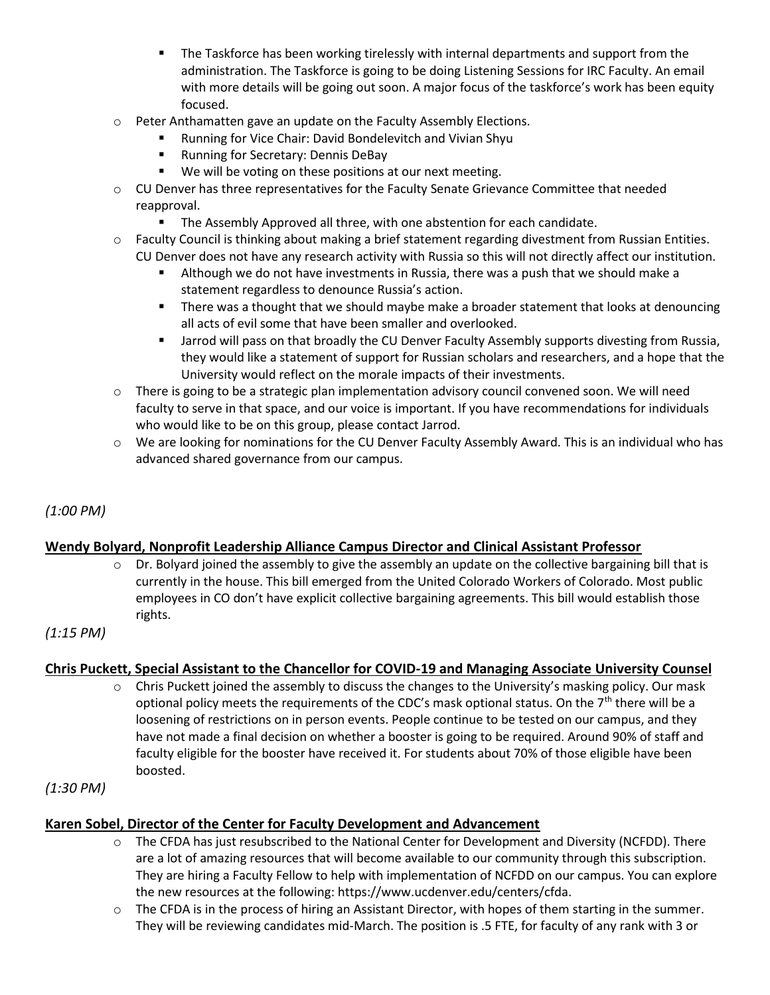- **■** The Taskforce has been working tirelessly with internal departments and support from the administration. The Taskforce is going to be doing Listening Sessions for IRC Faculty. An email with more details will be going out soon. A major focus of the taskforce's work has been equity focused.
- o Peter Anthamatten gave an update on the Faculty Assembly Elections.
	- Running for Vice Chair: David Bondelevitch and Vivian Shyu
	- Running for Secretary: Dennis DeBay
	- We will be voting on these positions at our next meeting.
- $\circ$  CU Denver has three representatives for the Faculty Senate Grievance Committee that needed reapproval.
	- The Assembly Approved all three, with one abstention for each candidate.
- o Faculty Council is thinking about making a brief statement regarding divestment from Russian Entities. CU Denver does not have any research activity with Russia so this will not directly affect our institution.
	- Although we do not have investments in Russia, there was a push that we should make a statement regardless to denounce Russia's action.
	- There was a thought that we should maybe make a broader statement that looks at denouncing all acts of evil some that have been smaller and overlooked.
	- **■** Jarrod will pass on that broadly the CU Denver Faculty Assembly supports divesting from Russia, they would like a statement of support for Russian scholars and researchers, and a hope that the University would reflect on the morale impacts of their investments.
- $\circ$  There is going to be a strategic plan implementation advisory council convened soon. We will need faculty to serve in that space, and our voice is important. If you have recommendations for individuals who would like to be on this group, please contact Jarrod.
- o We are looking for nominations for the CU Denver Faculty Assembly Award. This is an individual who has advanced shared governance from our campus.

# *(1:00 PM)*

# **Wendy Bolyard, Nonprofit Leadership Alliance Campus Director and Clinical Assistant Professor**

 $\circ$  Dr. Bolyard joined the assembly to give the assembly an update on the collective bargaining bill that is currently in the house. This bill emerged from the United Colorado Workers of Colorado. Most public employees in CO don't have explicit collective bargaining agreements. This bill would establish those rights.

## *(1:15 PM)*

# **Chris Puckett, Special Assistant to the Chancellor for COVID-19 and Managing Associate University Counsel**

 $\circ$  Chris Puckett joined the assembly to discuss the changes to the University's masking policy. Our mask optional policy meets the requirements of the CDC's mask optional status. On the  $7<sup>th</sup>$  there will be a loosening of restrictions on in person events. People continue to be tested on our campus, and they have not made a final decision on whether a booster is going to be required. Around 90% of staff and faculty eligible for the booster have received it. For students about 70% of those eligible have been boosted.

## *(1:30 PM)*

# **Karen Sobel, Director of the Center for Faculty Development and Advancement**

- o The CFDA has just resubscribed to the National Center for Development and Diversity (NCFDD). There are a lot of amazing resources that will become available to our community through this subscription. They are hiring a Faculty Fellow to help with implementation of NCFDD on our campus. You can explore the new resources at the following: https://www.ucdenver.edu/centers/cfda.
- $\circ$  The CFDA is in the process of hiring an Assistant Director, with hopes of them starting in the summer. They will be reviewing candidates mid-March. The position is .5 FTE, for faculty of any rank with 3 or